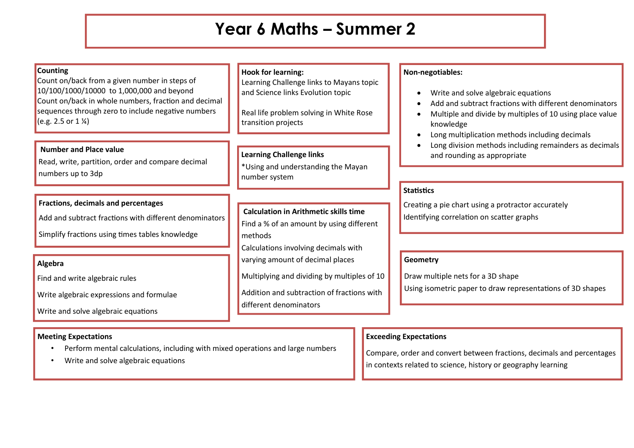## **Year 6 Maths – Summer 2**

### **Counting**

Count on/back from a given number in steps of 10/100/1000/10000 to 1,000,000 and beyond Count on/back in whole numbers, fraction and decimal sequences through zero to include negative numbers  $(e.g. 2.5 or 1\%)$ 

#### **Number and Place value**

Read, write, partition, order and compare decimal numbers up to 3dp

## **Fractions, decimals and percentages**

Add and subtract fractions with different denominators

Simplify fractions using times tables knowledge

## **Algebra**

Find and write algebraic rules

Write algebraic expressions and formulae

Write and solve algebraic equations

#### **Meeting Expectations**  $S_{\rm eff}$  equations that have lots of solutions that have lots of solutions of solutions of solutions of solutions

- Perform mental calculations, including with mixed operations and large numbers
- Write and solve algebraic equations

## **Hook for learning:**

Learning Challenge links to Mayans topic and Science links Evolution topic

Real life problem solving in White Rose transition projects

## **Learning Challenge links**

\*Using and understanding the Mayan number system

## **Calculation in Arithmetic skills time**  Find a % of an amount by using different methods Calculations involving decimals with varying amount of decimal places

Multiplying and dividing by multiples of 10

Addition and subtraction of fractions with different denominators

## **Non-negotiables:**

- Write and solve algebraic equations
- Add and subtract fractions with different denominators
- Multiple and divide by multiples of 10 using place value knowledge
- Long multiplication methods including decimals
- Long division methods including remainders as decimals and rounding as appropriate

## **Statistics**

Creating a pie chart using a protractor accurately Identifying correlation on scatter graphs

## **Geometry**

Draw multiple nets for a 3D shape Using isometric paper to draw representations of 3D shapes

## **Exceeding Expectations**

Compare, order and convert between fractions, decimals and percentages in contexts related to science, history or geography learning